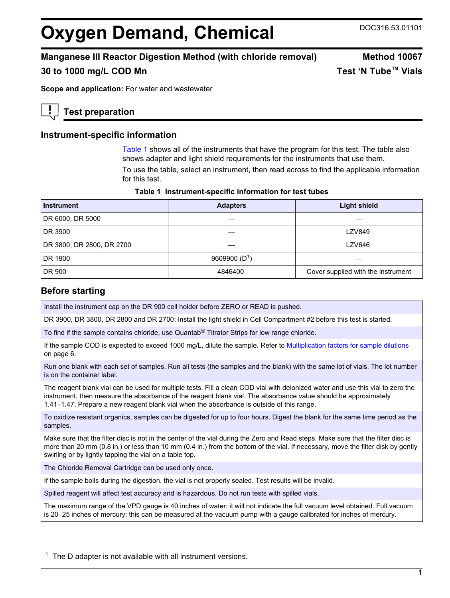# **Oxygen Demand, Chemical** DOC316.53.01101

# **Manganese III Reactor Digestion Method (with chloride removal) Method 10067**

# **30 to 1000 mg/L COD Mn Test 'N Tube™ Vials**

**Scope and application:** For water and wastewater

# **Test preparation**

# **Instrument-specific information**

Table 1 shows all of the instruments that have the program for this test. The table also shows adapter and light shield requirements for the instruments that use them.

To use the table, select an instrument, then read across to find the applicable information for this test.

| Table 1 Instrument-specific information for test tubes |  |  |  |  |  |
|--------------------------------------------------------|--|--|--|--|--|
|--------------------------------------------------------|--|--|--|--|--|

| <b>Instrument</b>         | <b>Adapters</b> | <b>Light shield</b>                |
|---------------------------|-----------------|------------------------------------|
| DR 6000, DR 5000          |                 |                                    |
| DR 3900                   |                 | <b>LZV849</b>                      |
| DR 3800, DR 2800, DR 2700 |                 | LZV646                             |
| DR 1900                   | 9609900 $(D1)$  |                                    |
| DR 900                    | 4846400         | Cover supplied with the instrument |

## **Before starting**

Install the instrument cap on the DR 900 cell holder before ZERO or READ is pushed.

DR 3900, DR 3800, DR 2800 and DR 2700: Install the light shield in Cell Compartment #2 before this test is started.

To find if the sample contains chloride, use Quantab® Titrator Strips for low range chloride.

If the sample COD is expected to exceed 1000 mg/L, dilute the sample. Refer to Multiplication factors for sample dilutions on page 6.

Run one blank with each set of samples. Run all tests (the samples and the blank) with the same lot of vials. The lot number is on the container label.

The reagent blank vial can be used for multiple tests. Fill a clean COD vial with deionized water and use this vial to zero the instrument, then measure the absorbance of the reagent blank vial. The absorbance value should be approximately 1.41–1.47. Prepare a new reagent blank vial when the absorbance is outside of this range.

To oxidize resistant organics, samples can be digested for up to four hours. Digest the blank for the same time period as the samples.

Make sure that the filter disc is not in the center of the vial during the Zero and Read steps. Make sure that the filter disc is more than 20 mm (0.8 in.) or less than 10 mm (0.4 in.) from the bottom of the vial. If necessary, move the filter disk by gently swirling or by lightly tapping the vial on a table top.

The Chloride Removal Cartridge can be used only once.

If the sample boils during the digestion, the vial is not properly sealed. Test results will be invalid.

Spilled reagent will affect test accuracy and is hazardous. Do not run tests with spilled vials.

The maximum range of the VPD gauge is 40 inches of water; it will not indicate the full vacuum level obtained. Full vacuum is 20–25 inches of mercury; this can be measured at the vacuum pump with a gauge calibrated for inches of mercury.

 $1$  The D adapter is not available with all instrument versions.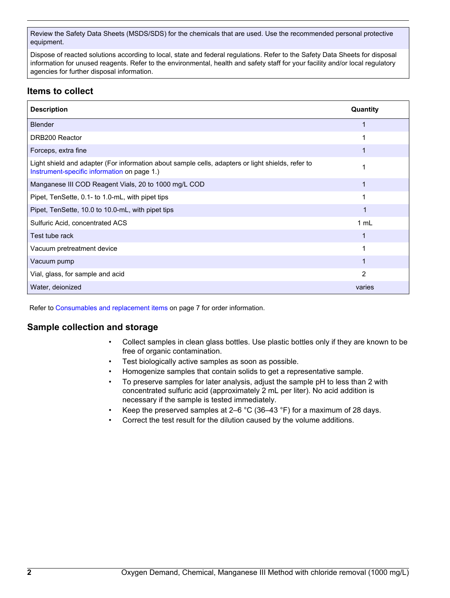Review the Safety Data Sheets (MSDS/SDS) for the chemicals that are used. Use the recommended personal protective equipment.

Dispose of reacted solutions according to local, state and federal regulations. Refer to the Safety Data Sheets for disposal information for unused reagents. Refer to the environmental, health and safety staff for your facility and/or local regulatory agencies for further disposal information.

# **Items to collect**

| <b>Description</b>                                                                                                                               | Quantity |
|--------------------------------------------------------------------------------------------------------------------------------------------------|----------|
| <b>Blender</b>                                                                                                                                   |          |
| DRB200 Reactor                                                                                                                                   |          |
| Forceps, extra fine                                                                                                                              |          |
| Light shield and adapter (For information about sample cells, adapters or light shields, refer to<br>Instrument-specific information on page 1.) |          |
| Manganese III COD Reagent Vials, 20 to 1000 mg/L COD                                                                                             |          |
| Pipet, TenSette, 0.1- to 1.0-mL, with pipet tips                                                                                                 |          |
| Pipet, TenSette, 10.0 to 10.0-mL, with pipet tips                                                                                                |          |
| Sulfuric Acid, concentrated ACS                                                                                                                  | 1 mL     |
| Test tube rack                                                                                                                                   |          |
| Vacuum pretreatment device                                                                                                                       |          |
| Vacuum pump                                                                                                                                      |          |
| Vial, glass, for sample and acid                                                                                                                 | 2        |
| Water, deionized                                                                                                                                 | varies   |

Refer to Consumables and replacement items on page 7 for order information.

## **Sample collection and storage**

- Collect samples in clean glass bottles. Use plastic bottles only if they are known to be free of organic contamination.
- Test biologically active samples as soon as possible.
- Homogenize samples that contain solids to get a representative sample.
- To preserve samples for later analysis, adjust the sample pH to less than 2 with concentrated sulfuric acid (approximately 2 mL per liter). No acid addition is necessary if the sample is tested immediately.
- Keep the preserved samples at 2–6  $^{\circ}$ C (36–43  $^{\circ}$ F) for a maximum of 28 days.
- Correct the test result for the dilution caused by the volume additions.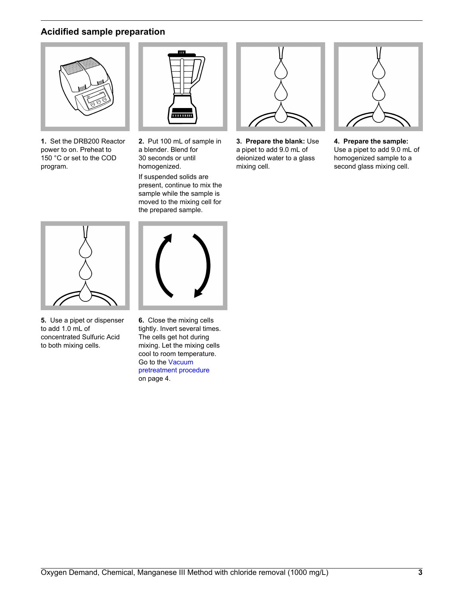# **Acidified sample preparation**



**1.** Set the DRB200 Reactor power to on. Preheat to 150 °C or set to the COD program.



**2.** Put 100 mL of sample in a blender. Blend for 30 seconds or until homogenized.

If suspended solids are present, continue to mix the sample while the sample is moved to the mixing cell for the prepared sample.



**3. Prepare the blank:** Use a pipet to add 9.0 mL of deionized water to a glass mixing cell.



**4. Prepare the sample:** Use a pipet to add 9.0 mL of homogenized sample to a second glass mixing cell.



**5.** Use a pipet or dispenser to add 1.0 mL of concentrated Sulfuric Acid to both mixing cells.



**6.** Close the mixing cells tightly. Invert several times. The cells get hot during mixing. Let the mixing cells cool to room temperature. Go to the Vacuum pretreatment procedure on page 4.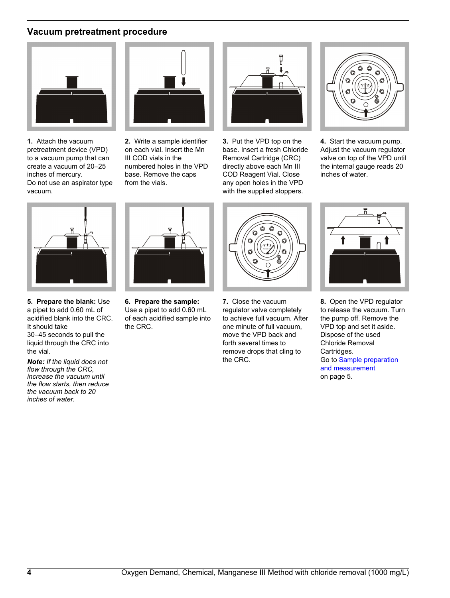# **Vacuum pretreatment procedure**



**1.** Attach the vacuum pretreatment device (VPD) to a vacuum pump that can create a vacuum of 20–25 inches of mercury. Do not use an aspirator type vacuum.



**2.** Write a sample identifier on each vial. Insert the Mn III COD vials in the numbered holes in the VPD base. Remove the caps from the vials.



**3.** Put the VPD top on the base. Insert a fresh Chloride Removal Cartridge (CRC) directly above each Mn III COD Reagent Vial. Close any open holes in the VPD with the supplied stoppers.



**4.** Start the vacuum pump. Adjust the vacuum regulator valve on top of the VPD until the internal gauge reads 20 inches of water.



**5. Prepare the blank:** Use a pipet to add 0.60 mL of acidified blank into the CRC. It should take 30–45 seconds to pull the liquid through the CRC into the vial.

*Note: If the liquid does not flow through the CRC, increase the vacuum until the flow starts, then reduce the vacuum back to 20 inches of water.*



**6. Prepare the sample:** Use a pipet to add 0.60 mL of each acidified sample into the CRC.



**7.** Close the vacuum regulator valve completely to achieve full vacuum. After one minute of full vacuum, move the VPD back and forth several times to remove drops that cling to the CRC.



**8.** Open the VPD regulator to release the vacuum. Turn the pump off. Remove the VPD top and set it aside. Dispose of the used Chloride Removal Cartridges. Go to Sample preparation and measurement on page 5.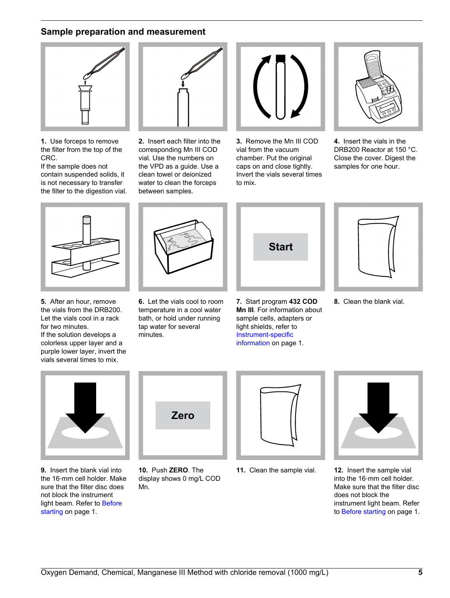## **Sample preparation and measurement**



**1.** Use forceps to remove the filter from the top of the CRC.

If the sample does not contain suspended solids, it is not necessary to transfer the filter to the digestion vial.



**2.** Insert each filter into the corresponding Mn III COD vial. Use the numbers on the VPD as a guide. Use a clean towel or deionized water to clean the forceps between samples.



**3.** Remove the Mn III COD vial from the vacuum chamber. Put the original caps on and close tightly. Invert the vials several times to mix.



**4.** Insert the vials in the DRB200 Reactor at 150 °C. Close the cover. Digest the samples for one hour.



**5.** After an hour, remove the vials from the DRB200. Let the vials cool in a rack for two minutes.

If the solution develops a colorless upper layer and a purple lower layer, invert the vials several times to mix.



**6.** Let the vials cool to room temperature in a cool water bath, or hold under running tap water for several minutes.



**7.** Start program **432 COD Mn III**. For information about sample cells, adapters or light shields, refer to Instrument-specific information on page 1.



**8.** Clean the blank vial.



**9.** Insert the blank vial into the 16‑mm cell holder. Make sure that the filter disc does not block the instrument light beam. Refer to Before starting on page 1.



**10.** Push **ZERO**. The display shows 0 mg/L COD Mn.





**11.** Clean the sample vial. **12.** Insert the sample vial into the 16‑mm cell holder. Make sure that the filter disc does not block the instrument light beam. Refer to Before starting on page 1.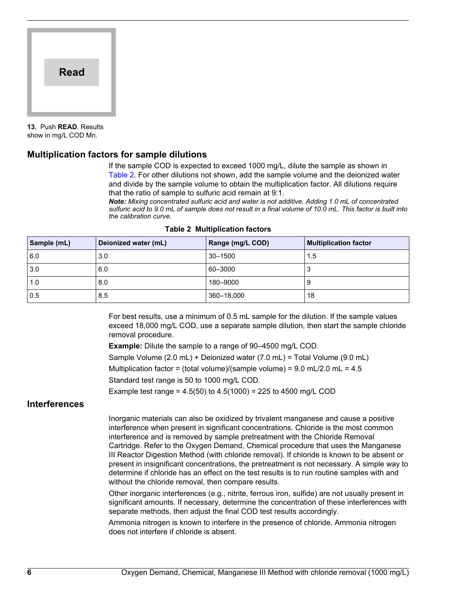

**13.** Push **READ**. Results show in mg/L COD Mn.

#### **Multiplication factors for sample dilutions**

If the sample COD is expected to exceed 1000 mg/L, dilute the sample as shown in Table 2. For other dilutions not shown, add the sample volume and the deionized water and divide by the sample volume to obtain the multiplication factor. All dilutions require that the ratio of sample to sulfuric acid remain at 9:1.

*Note: Mixing concentrated sulfuric acid and water is not additive. Adding 1.0 mL of concentrated sulfuric acid to 9.0 mL of sample does not result in a final volume of 10.0 mL. This factor is built into the calibration curve.*

| Sample (mL) | Deionized water (mL) | Range (mg/L COD) | <b>Multiplication factor</b> |
|-------------|----------------------|------------------|------------------------------|
| 6.0         | 3.0                  | $30 - 1500$      | 1.5                          |
| 3.0         | 6.0                  | 60-3000          |                              |
| 1.0         | 8.0                  | 180-9000         |                              |
| 0.5         | 8.5                  | 360-18,000       | 18                           |

#### **Table 2 Multiplication factors**

For best results, use a minimum of 0.5 mL sample for the dilution. If the sample values exceed 18,000 mg/L COD, use a separate sample dilution, then start the sample chloride removal procedure.

**Example:** Dilute the sample to a range of 90–4500 mg/L COD.

Sample Volume (2.0 mL) + Deionized water (7.0 mL) = Total Volume (9.0 mL)

Multiplication factor = (total volume)/(sample volume) =  $9.0$  mL/2.0 mL =  $4.5$ 

Standard test range is 50 to 1000 mg/L COD.

Example test range =  $4.5(50)$  to  $4.5(1000)$  = 225 to 4500 mg/L COD

## **Interferences**

Inorganic materials can also be oxidized by trivalent manganese and cause a positive interference when present in significant concentrations. Chloride is the most common interference and is removed by sample pretreatment with the Chloride Removal Cartridge. Refer to the Oxygen Demand, Chemical procedure that uses the Manganese III Reactor Digestion Method (with chloride removal). If chloride is known to be absent or present in insignificant concentrations, the pretreatment is not necessary. A simple way to determine if chloride has an effect on the test results is to run routine samples with and without the chloride removal, then compare results.

Other inorganic interferences (e.g., nitrite, ferrous iron, sulfide) are not usually present in significant amounts. If necessary, determine the concentration of these interferences with separate methods, then adjust the final COD test results accordingly.

Ammonia nitrogen is known to interfere in the presence of chloride. Ammonia nitrogen does not interfere if chloride is absent.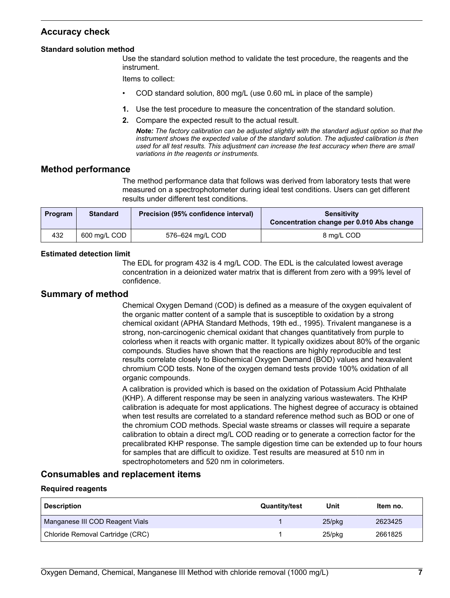# **Accuracy check**

#### **Standard solution method**

Use the standard solution method to validate the test procedure, the reagents and the instrument.

Items to collect:

- COD standard solution, 800 mg/L (use 0.60 mL in place of the sample)
- **1.** Use the test procedure to measure the concentration of the standard solution.
- **2.** Compare the expected result to the actual result.

*Note: The factory calibration can be adjusted slightly with the standard adjust option so that the instrument shows the expected value of the standard solution. The adjusted calibration is then used for all test results. This adjustment can increase the test accuracy when there are small variations in the reagents or instruments.*

#### **Method performance**

The method performance data that follows was derived from laboratory tests that were measured on a spectrophotometer during ideal test conditions. Users can get different results under different test conditions.

| Program | <b>Standard</b> | Precision (95% confidence interval) | <b>Sensitivity</b><br>Concentration change per 0.010 Abs change |
|---------|-----------------|-------------------------------------|-----------------------------------------------------------------|
| 432     | 600 mg/L COD    | 576–624 mg/L COD                    | 8 ma/L COD                                                      |

#### **Estimated detection limit**

The EDL for program 432 is 4 mg/L COD. The EDL is the calculated lowest average concentration in a deionized water matrix that is different from zero with a 99% level of confidence.

#### **Summary of method**

Chemical Oxygen Demand (COD) is defined as a measure of the oxygen equivalent of the organic matter content of a sample that is susceptible to oxidation by a strong chemical oxidant (APHA Standard Methods, 19th ed., 1995). Trivalent manganese is a strong, non-carcinogenic chemical oxidant that changes quantitatively from purple to colorless when it reacts with organic matter. It typically oxidizes about 80% of the organic compounds. Studies have shown that the reactions are highly reproducible and test results correlate closely to Biochemical Oxygen Demand (BOD) values and hexavalent chromium COD tests. None of the oxygen demand tests provide 100% oxidation of all organic compounds.

A calibration is provided which is based on the oxidation of Potassium Acid Phthalate (KHP). A different response may be seen in analyzing various wastewaters. The KHP calibration is adequate for most applications. The highest degree of accuracy is obtained when test results are correlated to a standard reference method such as BOD or one of the chromium COD methods. Special waste streams or classes will require a separate calibration to obtain a direct mg/L COD reading or to generate a correction factor for the precalibrated KHP response. The sample digestion time can be extended up to four hours for samples that are difficult to oxidize. Test results are measured at 510 nm in spectrophotometers and 520 nm in colorimeters.

#### **Consumables and replacement items**

#### **Required reagents**

| <b>Description</b>               | <b>Quantity/test</b> | Unit      | Item no. |
|----------------------------------|----------------------|-----------|----------|
| Manganese III COD Reagent Vials  |                      | $25$ /pkq | 2623425  |
| Chloride Removal Cartridge (CRC) |                      | 25/pkg    | 2661825  |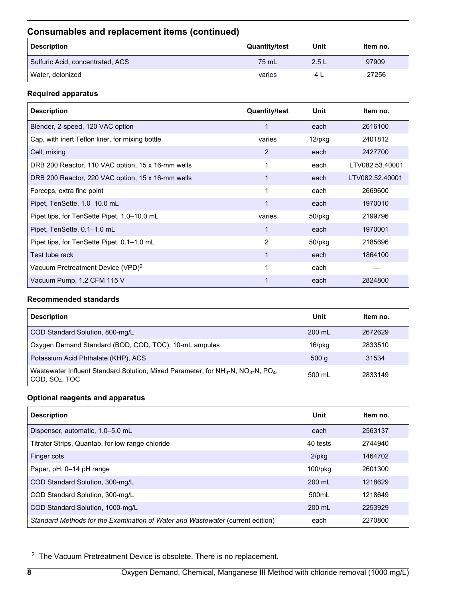# **Consumables and replacement items (continued)**

| <b>Description</b>               | <b>Quantity/test</b> | Unit | Item no. |
|----------------------------------|----------------------|------|----------|
| Sulfuric Acid, concentrated, ACS | 75 mL                | 2.5L | 97909    |
| Water, deionized                 | varies               | 41   | 27256    |

#### **Required apparatus**

| <b>Description</b>                                | <b>Quantity/test</b> | Unit      | Item no.        |
|---------------------------------------------------|----------------------|-----------|-----------------|
| Blender, 2-speed, 120 VAC option                  | 1                    | each      | 2616100         |
| Cap, with inert Teflon liner, for mixing bottle   | varies               | 12/pkg    | 2401812         |
| Cell, mixing                                      | 2                    | each      | 2427700         |
| DRB 200 Reactor, 110 VAC option, 15 x 16-mm wells |                      | each      | LTV082.53.40001 |
| DRB 200 Reactor, 220 VAC option, 15 x 16-mm wells |                      | each      | LTV082.52.40001 |
| Forceps, extra fine point                         |                      | each      | 2669600         |
| Pipet, TenSette, 1.0-10.0 mL                      | 1                    | each      | 1970010         |
| Pipet tips, for TenSette Pipet, 1.0-10.0 mL       | varies               | $50$ /pkg | 2199796         |
| Pipet, TenSette, 0.1-1.0 mL                       |                      | each      | 1970001         |
| Pipet tips, for TenSette Pipet, 0.1–1.0 mL        | 2                    | 50/pkg    | 2185696         |
| Test tube rack                                    |                      | each      | 1864100         |
| Vacuum Pretreatment Device (VPD) <sup>2</sup>     |                      | each      |                 |
| Vacuum Pump, 1.2 CFM 115 V                        |                      | each      | 2824800         |

#### **Recommended standards**

| <b>Description</b>                                                                                                                                  | Unit             | Item no. |
|-----------------------------------------------------------------------------------------------------------------------------------------------------|------------------|----------|
| COD Standard Solution, 800-mg/L                                                                                                                     | $200 \text{ ml}$ | 2672629  |
| Oxygen Demand Standard (BOD, COD, TOC), 10-mL ampules                                                                                               | 16/pkg           | 2833510  |
| Potassium Acid Phthalate (KHP), ACS                                                                                                                 | 500q             | 31534    |
| Wastewater Influent Standard Solution, Mixed Parameter, for NH <sub>3</sub> -N, NO <sub>3</sub> -N, PO <sub>4</sub> ,<br>COD, SO <sub>4</sub> , TOC | 500 ml           | 2833149  |

#### **Optional reagents and apparatus**

| <b>Description</b>                                                             | Unit             | Item no. |
|--------------------------------------------------------------------------------|------------------|----------|
| Dispenser, automatic, 1.0-5.0 mL                                               | each             | 2563137  |
| Titrator Strips, Quantab, for low range chloride                               | 40 tests         | 2744940  |
| Finger cots                                                                    | $2$ /pkg         | 1464702  |
| Paper, pH, 0-14 pH range                                                       | $100$ /p $kg$    | 2601300  |
| COD Standard Solution, 300-mg/L                                                | 200 mL           | 1218629  |
| COD Standard Solution, 300-mg/L                                                | 500mL            | 1218649  |
| COD Standard Solution, 1000-mg/L                                               | $200 \text{ ml}$ | 2253929  |
| Standard Methods for the Examination of Water and Wastewater (current edition) | each             | 2270800  |

<sup>&</sup>lt;sup>2</sup> The Vacuum Pretreatment Device is obsolete. There is no replacement.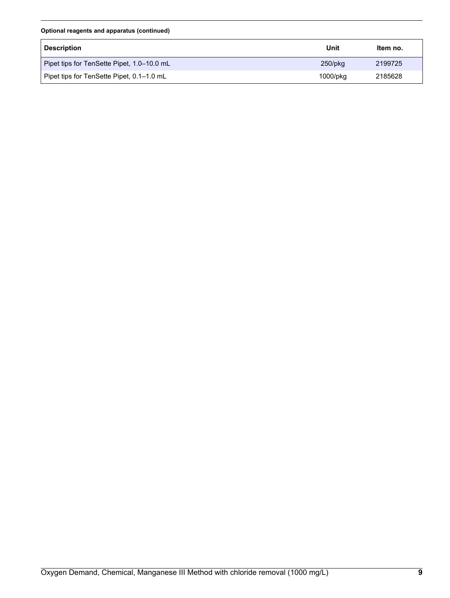#### **Optional reagents and apparatus (continued)**

| <b>Description</b>                         | Unit       | Item no. |
|--------------------------------------------|------------|----------|
| Pipet tips for TenSette Pipet, 1.0–10.0 mL | $250$ /pkg | 2199725  |
| Pipet tips for TenSette Pipet, 0.1–1.0 mL  | 1000/pkg   | 2185628  |